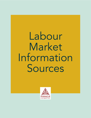Labour Market Information Sources

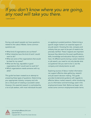# If you<br>any ro *If you don't know where you are going, any road will take you there.*

- Lewis Carroll

During a job search people can have questions related to the Labour Market. Some common questions are:

- What kind of organizations are out there?
- What industries have the kind of work I would want to do?
- What are some of the organizations that would be best for my career?
- What are the top, reputable or good organizations that I would want to work for?
- Which organizations needs someone with my skills?

This guide has been created as an attempt to answering these types of questions. Determining your appropriate industry, company and role are a critical part of creating a successful career. However, this essential research is overlooked by a lot of job seekers, with most individuals focused on applying to posted positions. Determining a specific target market is an essential aspect of any job search. Knowing the role, company and industry that you want to be part of needs to be precisely clarified. These 3 aspects are important because they determine the exact qualifications, skills, knowledge and education that you need to have. At different points during a career transition or job search, you need to not only decide what occupational role you want to be in, but the company and industry/sector as well.

Exploring sources of labour market information can support effective data gathering, research and job search decision making. This guide provides fundamental guidance with regards to effective labour market research, while introducing you to information and terminology used in the employment/career field. Before we begin, let's review some common employment/career terms.

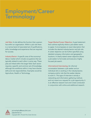# Employment/Career Terminology

Job Role: A role defines the function that a person has within an organization. Within a job role there is a narrow band of associated set of qualifications, skills, knowledge and experience that are required for success.

Industry/Sector: A specific area of the economy/ labour market which include occupations that are typically related to each other in some way. These jobs are linked within the larger field. Each sector requires a specific and common set of knowledge, although the workforce within it may have diverse skills and role responsibilities. Examples would be Agriculture, Health or Technology.

Target Market/Career Objective: A goal statement that outlines explicitly where a job seeker wants to apply. It encompasses an exact description that includes the desired industry/sector and job role. A career objective can be further specified using detailed company information and geographic locations. A clearly stated career objective allows a job seeker to formulate and execute a highly focused job search.

Informational Interviewing: An informal conversation between a job seeker and an individual who is working in the industry/sector, company and/or role that the seeker desires to work in. This type of interview is strictly a networking and information gathering method, and not meant as a request for a job opportunity. It is an effective research tool and is best conducted in conjunction with online and additional research.

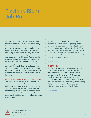# Find the Right Job Role

As a first step to any job search, you will need to determine the type of role you want to apply to. Figuring out desired career roles can be a complicated question for some people, requiring more than just gathering sources of information. Identifying an ideal career role may involve an intensive career development process, which is outside the scope of this guide. Regardless, there are some comprehensive sources that provide invaluable occupational information. These sources can provide information on job duties, responsibilities, skills, interests and education. This important information can be used to assist in helping you to evaluate, plan and decide on your intended career role(s). These sources include the following:

National Occupational Classification (NOC 2016) The National Occupational Classification (NOC) is a nationally accepted reference on occupations in Canada, organizing over 40,000 job titles into 500 occupational group descriptions. It can be used to compile and analyze information about occupations, along with providing a better understanding of jobs found throughout Canada's labour market.

The NOC is the largest source for providing a standardized framework for organizing the world of work. It is used to manage the collection and reporting of occupational statistics. The NOC is a standard that classifies and describes occupations in the Canadian economy. Descriptors in the occupational profiles summarize main duties and employment requirements.

#### [Visit Website](https://noc.esdc.gc.ca/Home/Welcome/5bfe48ef9961405f8882476835e93bbb)

#### ONET OnLine

This is the American equivalent of the National Occupational Classification (NOC). It is the accepted reference on occupations within the United States. Similar to the NOC, it can be used to compile and analyze information about occupations. The occupational profiles in ONET provide information in several categories including Tasks, Tools/ Technology, Knowledge, Skills, Abilities, Work Activities and Work Context.

[Visit Website](https://www.onetonline.org
)

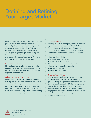# Defining and Refining Your Target Market

Once you have defined your role(s), this important piece of information is completed for your career objective. The next step is to figure out where these opportunities will be. This involves exploring companies and industries/sectors. As you go through the steps of identifying and finding companies, there are four ways of defining and categorizing a specific company. The way a company can be characterized includes:

#### Geographic Location

Plan and consider how far you want to travel to get the company you would like to work for. Long distance travelling, and even perhaps relocation might be considerations.

#### Industry or Type of Organization

Beginning a job search within the same or similar industry that you are most recently in provides an advantage of leveraging your existing skills and experience. When you move to other industries outside your career experience and qualifications it can be more challenging, with regards to finding work as readily and quickly.

#### Organization Size

Typically, the size of a company can be determined by a number of main factors that include Annual Budget, Employee Numbers and Geographic Locations. An organization's size can significantly influence the position and potential opportunities in terms of:

- Position/Job Mobility
- Workload (Responsibilities)
- Salary (Pay structure, Grade)
- Human Resources Departments (Available)
- Internal communication/networks
- Policies/Procedures
- Bureaucracy (Structure)

#### Organizational Culture

This is a unique and specific collection of values and norms that are shared by the people and groups withing an organization and control the way they interact. Organizational Culture is important to your decision making because it has been shown to significantly affect employee turnover, engagement, satisfaction and productivity. Overall, it will have a dramatic impact on your productivity and contentment at work.

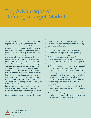# The Advantages of Defining a Target Market

So, what are the real advantages of defining your target market during your job search? Creating a target list of companies and industries/sectors is more time consuming than simply applying to posted advertisements. Since the average job seeker does not do this, why do it? Defining your target market is critically important because it allows you to be more proactive and gives you greater choice. Ultimately, if you want to have greater choice in the companies you are going to work for, you need to choose the company, as opposed to the company choosing you. When you apply to posted positions, you are applying to the needs of employers instead of trying to find a company that would be a better fit for you. Exploring and identifying companies beyond those seen in advertised postings will give you the chance to find companies that would be missed. This is called the "hidden job market". Finding the hidden job market provides a strong advantage, because it can allow you to apply to positions that other job seekers are missing, thereby significantly reducing the competition. Exploring companies and researching information can be incorporated during multiple job search strategies, increasing the chances of your success. In-depth labour market research can provide the following advantages and benefits:

- 1. Ensures that you are targeting all relevant employers within your job search, providing a larger scope of possible opportunities.
- 2. Provides you with an assessment of how large your potential market is and the possible opportunities that are available within a specific region/location.
- 3. Provides company information that can be used as part of the Speculative Method. A "Speculative Job Application" is an approach that incorporates direct contact with companies/ organisations to determine if there is a suitable vacancy, without any role being advertised.
- 4. Allows you to focus and define your efforts and time during a job search, making it more efficient.
- 5. Provides you an opportunity to build critical networking connections, leading to more referral opportunities.
- 6. Assists in identifying possible companies that might not be momentarily hiring but may still be an excellent fit to your overall career.

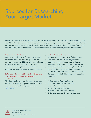# Sources for Researching Your Target Market

Researching companies in this technologically advanced time has become significantly simplified through the use of the internet, employing any number of search engines. Today, companies readily post advertised career positions on their websites, along with a wide range of corporate information. There is a wealth of sources to acquire industry/sector information, as well as company data. Here are some ways to acquire information:

#### 1. Social Media / LinkedIn

One the world's largest professional online social media networking site, with nearly 740 million members in more than 200 countries and territories worldwide. It hosts a vast level of company information, allowing the user to connect and communicate with professionals around the globe.

# 2. Canadian Government Directories / Directories of Canadian Companies (Government of Canada)

This Canadian Government site allows for searches of Canadian suppliers, corporate competitors and checking a company's incorporation status. [Visit Website](https://www.canada.ca/en/services/business/research/directoriescanadiancompanies.html)

#### 3. Trade/Industry Directories

The most comprehensive lists of labour market information available in directory form are published in book volumes. Most of these are available on-line but cannot be accessed except through significant fees. However, these directories are carried in most public and post-secondary libraries in major cities. Some of the more popular Canadian trade/ industrial directories include the following:

- 1. Blue Book of Canadian Business
- 2. Canadian Key Business Directory
- 3. Canadian Trade Index
- 4. National Services Directory
- 5. Fraser's Canadian Trade Directory
- 6. Scott's directories: Ontario manufacturers